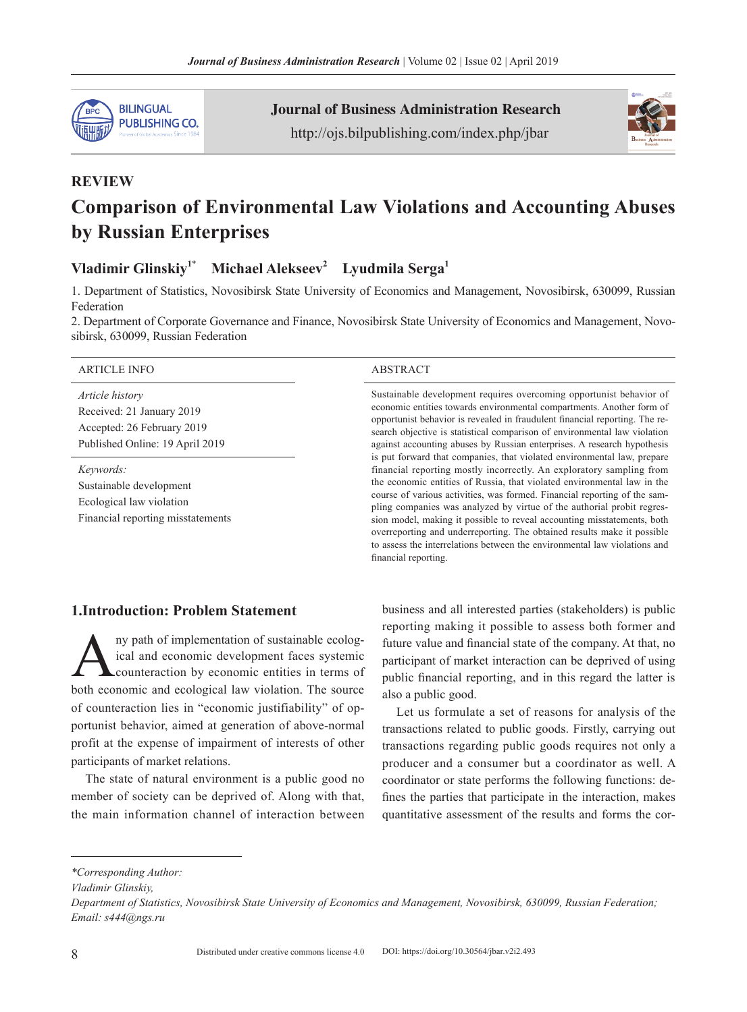

Journal of Business Administration Research http://ojs.bilpublishing.com/index.php/jbar



# **REVIEW Comparison of Environmental Law Violations and Accounting Abuses by Russian Enterprises**

## **Vladimir Glinskiy<sup>1</sup>**\* **Michael Alekseev<sup>2</sup> Lyudmila Serga<sup>1</sup>**

1. Department of Statistics, Novosibirsk State University of Economics and Management, Novosibirsk, 630099, Russian Federation

2. Department of Corporate Governance and Finance, Novosibirsk State University of Economics and Management, Novosibirsk, 630099, Russian Federation

#### ARTICLE INFO ABSTRACT

*Article history* Received: 21 January 2019 Accepted: 26 February 2019 Published Online: 19 April 2019

*Keywords:* Sustainable development Ecological law violation Financial reporting misstatements

Sustainable development requires overcoming opportunist behavior of economic entities towards environmental compartments. Another form of opportunist behavior is revealed in fraudulent financial reporting. The research objective is statistical comparison of environmental law violation against accounting abuses by Russian enterprises. A research hypothesis is put forward that companies, that violated environmental law, prepare financial reporting mostly incorrectly. An exploratory sampling from the economic entities of Russia, that violated environmental law in the course of various activities, was formed. Financial reporting of the sampling companies was analyzed by virtue of the authorial probit regression model, making it possible to reveal accounting misstatements, both overreporting and underreporting. The obtained results make it possible to assess the interrelations between the environmental law violations and financial reporting.

#### **1.Introduction: Problem Statement**

Any path of implementation of sustainable ecological and economic development faces systemic<br>counteraction by economic entities in terms of ical and economic development faces systemic counteraction by economic entities in terms of both economic and ecological law violation. The source of counteraction lies in "economic justifiability" of opportunist behavior, aimed at generation of above-normal profit at the expense of impairment of interests of other participants of market relations.

The state of natural environment is a public good no member of society can be deprived of. Along with that, the main information channel of interaction between business and all interested parties (stakeholders) is public reporting making it possible to assess both former and future value and financial state of the company. At that, no participant of market interaction can be deprived of using public financial reporting, and in this regard the latter is also a public good.

Let us formulate a set of reasons for analysis of the transactions related to public goods. Firstly, carrying out transactions regarding public goods requires not only a producer and a consumer but a coordinator as well. A coordinator or state performs the following functions: defines the parties that participate in the interaction, makes quantitative assessment of the results and forms the cor-

*Vladimir Glinskiy,*

*<sup>\*</sup>Corresponding Author:*

*Department of Statistics, Novosibirsk State University of Economics and Management, Novosibirsk, 630099, Russian Federation; Email: s444@ngs.ru*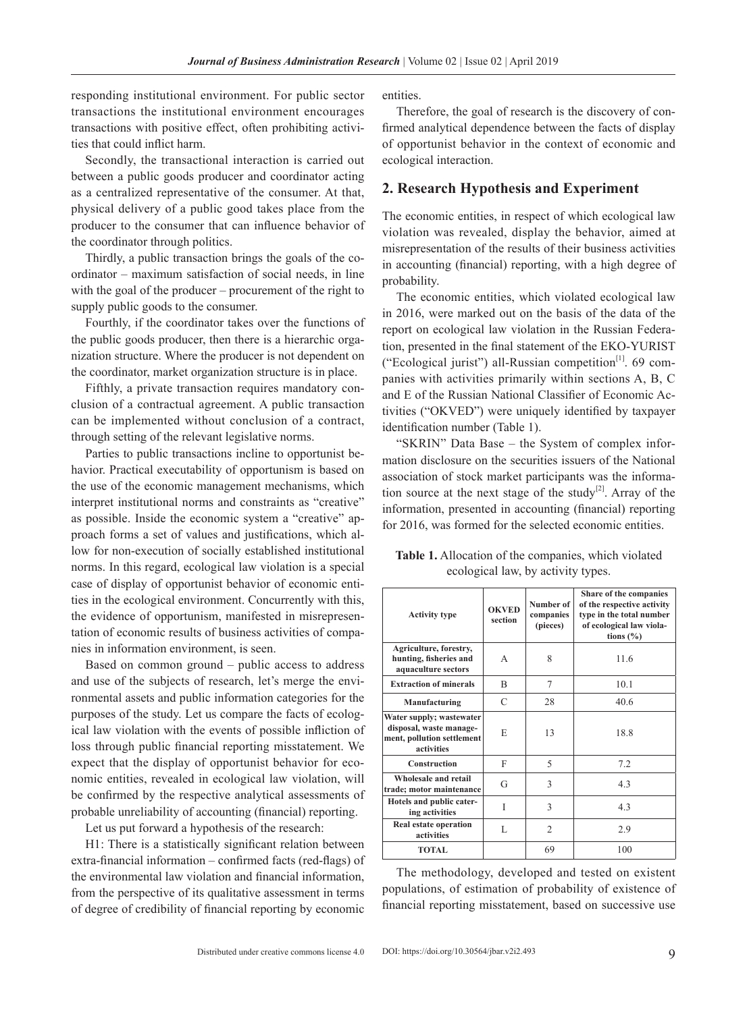responding institutional environment. For public sector transactions the institutional environment encourages transactions with positive effect, often prohibiting activities that could inflict harm.

Secondly, the transactional interaction is carried out between a public goods producer and coordinator acting as a centralized representative of the consumer. At that, physical delivery of a public good takes place from the producer to the consumer that can influence behavior of the coordinator through politics.

Thirdly, a public transaction brings the goals of the coordinator – maximum satisfaction of social needs, in line with the goal of the producer – procurement of the right to supply public goods to the consumer.

Fourthly, if the coordinator takes over the functions of the public goods producer, then there is a hierarchic organization structure. Where the producer is not dependent on the coordinator, market organization structure is in place.

Fifthly, a private transaction requires mandatory conclusion of a contractual agreement. A public transaction can be implemented without conclusion of a contract, through setting of the relevant legislative norms.

Parties to public transactions incline to opportunist behavior. Practical executability of opportunism is based on the use of the economic management mechanisms, which interpret institutional norms and constraints as "creative" as possible. Inside the economic system a "creative" approach forms a set of values and justifications, which allow for non-execution of socially established institutional norms. In this regard, ecological law violation is a special case of display of opportunist behavior of economic entities in the ecological environment. Concurrently with this, the evidence of opportunism, manifested in misrepresentation of economic results of business activities of companies in information environment, is seen.

Based on common ground – public access to address and use of the subjects of research, let's merge the environmental assets and public information categories for the purposes of the study. Let us compare the facts of ecological law violation with the events of possible infliction of loss through public financial reporting misstatement. We expect that the display of opportunist behavior for economic entities, revealed in ecological law violation, will be confirmed by the respective analytical assessments of probable unreliability of accounting (financial) reporting.

Let us put forward a hypothesis of the research:

H1: There is a statistically significant relation between extra-financial information – confirmed facts (red-flags) of the environmental law violation and financial information, from the perspective of its qualitative assessment in terms of degree of credibility of financial reporting by economic entities.

Therefore, the goal of research is the discovery of confirmed analytical dependence between the facts of display of opportunist behavior in the context of economic and ecological interaction.

### **2. Research Hypothesis and Experiment**

The economic entities, in respect of which ecological law violation was revealed, display the behavior, aimed at misrepresentation of the results of their business activities in accounting (financial) reporting, with a high degree of probability.

The economic entities, which violated ecological law in 2016, were marked out on the basis of the data of the report on ecological law violation in the Russian Federation, presented in the final statement of the EKO-YURIST ("Ecological jurist") all-Russian competition[1]. 69 companies with activities primarily within sections A, B, C and E of the Russian National Classifier of Economic Activities ("OKVED") were uniquely identified by taxpayer identification number (Table 1).

"SKRIN" Data Base – the System of complex information disclosure on the securities issuers of the National association of stock market participants was the information source at the next stage of the study<sup>[2]</sup>. Array of the information, presented in accounting (financial) reporting for 2016, was formed for the selected economic entities.

**Table 1.** Allocation of the companies, which violated ecological law, by activity types.

| <b>Activity type</b>                                                                            | <b>OKVED</b><br>section | Number of<br>companies<br>(pieces) | Share of the companies<br>of the respective activity<br>type in the total number<br>of ecological law viola-<br>tions $(\% )$ |
|-------------------------------------------------------------------------------------------------|-------------------------|------------------------------------|-------------------------------------------------------------------------------------------------------------------------------|
| Agriculture, forestry,<br>hunting, fisheries and<br>aquaculture sectors                         | A                       | 8                                  | 11.6                                                                                                                          |
| <b>Extraction of minerals</b>                                                                   | R                       | 7                                  | 10.1                                                                                                                          |
| Manufacturing                                                                                   | C                       | 28                                 | 40.6                                                                                                                          |
| Water supply; wastewater<br>disposal, waste manage-<br>ment, pollution settlement<br>activities | E                       | 13                                 | 18.8                                                                                                                          |
| <b>Construction</b>                                                                             | F                       | $\varsigma$                        | 7.2                                                                                                                           |
| Wholesale and retail<br>trade; motor maintenance                                                | G                       | 3                                  | 4.3                                                                                                                           |
| Hotels and public cater-<br>ing activities                                                      | Ī                       | 3                                  | 4.3                                                                                                                           |
| Real estate operation<br>activities                                                             | L                       | $\overline{c}$                     | 2.9                                                                                                                           |
| <b>TOTAL</b>                                                                                    |                         | 69                                 | 100                                                                                                                           |

The methodology, developed and tested on existent populations, of estimation of probability of existence of financial reporting misstatement, based on successive use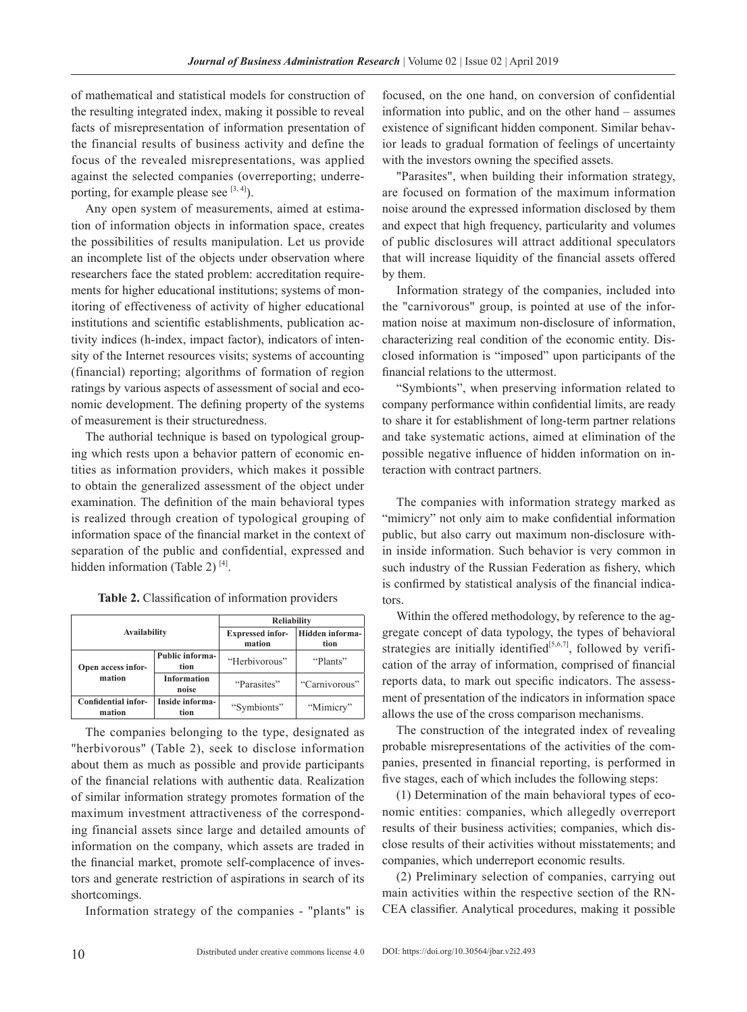of mathematical and statistical models for construction of the resulting integrated index, making it possible to reveal facts of misrepresentation of information presentation of the financial results of business activity and define the focus of the revealed misrepresentations, was applied against the selected companies (overreporting; underreporting, for example please see  $[3, 4]$ ).

Any open system of measurements, aimed at estimation of information objects in information space, creates the possibilities of results manipulation. Let us provide an incomplete list of the objects under observation where researchers face the stated problem: accreditation requirements for higher educational institutions; systems of monitoring of effectiveness of activity of higher educational institutions and scientific establishments, publication activity indices (h-index, impact factor), indicators of intensity of the Internet resources visits; systems of accounting (financial) reporting; algorithms of formation of region ratings by various aspects of assessment of social and economic development. The defining property of the systems of measurement is their structuredness.

The authorial technique is based on typological grouping which rests upon a behavior pattern of economic entities as information providers, which makes it possible to obtain the generalized assessment of the object under examination. The definition of the main behavioral types is realized through creation of typological grouping of information space of the financial market in the context of separation of the public and confidential, expressed and hidden information (Table 2)  $^{[4]}$ .

| <b>Availability</b>                  |                                | <b>Reliability</b>                |                         |  |
|--------------------------------------|--------------------------------|-----------------------------------|-------------------------|--|
|                                      |                                | <b>Expressed infor-</b><br>mation | Hidden informa-<br>tion |  |
| Open access infor-<br>mation         | <b>Public informa-</b><br>tion | "Herbivorous"                     | "Plants"                |  |
|                                      | <b>Information</b><br>noise    | "Parasites"                       | "Carnivorous"           |  |
| <b>Confidential infor-</b><br>mation | Inside informa-<br>tion        | "Symbionts"                       | "Mimicry"               |  |

**Table 2.** Classification of information providers

The companies belonging to the type, designated as "herbivorous" (Table 2), seek to disclose information about them as much as possible and provide participants of the financial relations with authentic data. Realization of similar information strategy promotes formation of the maximum investment attractiveness of the corresponding financial assets since large and detailed amounts of information on the company, which assets are traded in the financial market, promote self-complacence of investors and generate restriction of aspirations in search of its shortcomings.

Information strategy of the companies - "plants" is

focused, on the one hand, on conversion of confidential information into public, and on the other hand – assumes existence of significant hidden component. Similar behavior leads to gradual formation of feelings of uncertainty with the investors owning the specified assets.

"Parasites", when building their information strategy, are focused on formation of the maximum information noise around the expressed information disclosed by them and expect that high frequency, particularity and volumes of public disclosures will attract additional speculators that will increase liquidity of the financial assets offered by them.

Information strategy of the companies, included into the "carnivorous" group, is pointed at use of the information noise at maximum non-disclosure of information, characterizing real condition of the economic entity. Disclosed information is "imposed" upon participants of the financial relations to the uttermost.

"Symbionts", when preserving information related to company performance within confidential limits, are ready to share it for establishment of long-term partner relations and take systematic actions, aimed at elimination of the possible negative influence of hidden information on interaction with contract partners.

The companies with information strategy marked as "mimicry" not only aim to make confidential information public, but also carry out maximum non-disclosure within inside information. Such behavior is very common in such industry of the Russian Federation as fishery, which is confirmed by statistical analysis of the financial indicators.

Within the offered methodology, by reference to the aggregate concept of data typology, the types of behavioral strategies are initially identified<sup>[5,6,7]</sup>, followed by verification of the array of information, comprised of financial reports data, to mark out specific indicators. The assessment of presentation of the indicators in information space allows the use of the cross comparison mechanisms.

The construction of the integrated index of revealing probable misrepresentations of the activities of the companies, presented in financial reporting, is performed in five stages, each of which includes the following steps:

(1) Determination of the main behavioral types of economic entities: companies, which allegedly overreport results of their business activities; companies, which disclose results of their activities without misstatements; and companies, which underreport economic results.

(2) Preliminary selection of companies, carrying out main activities within the respective section of the RN-CEA classifier. Analytical procedures, making it possible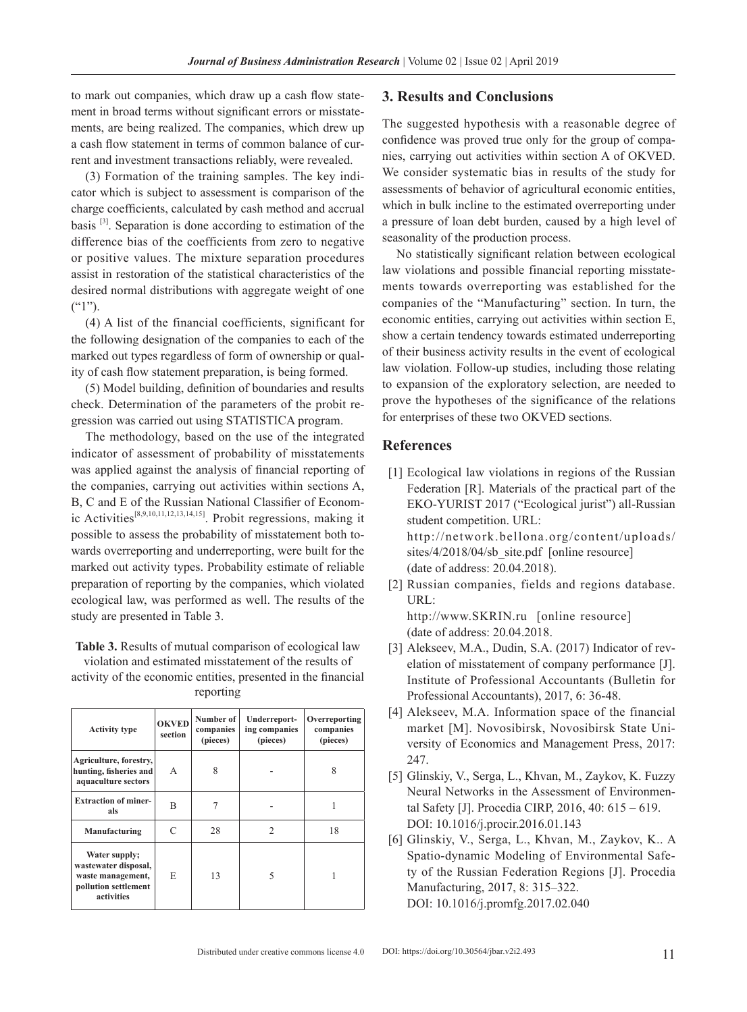to mark out companies, which draw up a cash flow statement in broad terms without significant errors or misstatements, are being realized. The companies, which drew up a cash flow statement in terms of common balance of current and investment transactions reliably, were revealed.

(3) Formation of the training samples. The key indicator which is subject to assessment is comparison of the charge coefficients, calculated by cash method and accrual basis [3]. Separation is done according to estimation of the difference bias of the coefficients from zero to negative or positive values. The mixture separation procedures assist in restoration of the statistical characteristics of the desired normal distributions with aggregate weight of one  $(^{61})$ <sup>2</sup>).

(4) A list of the financial coefficients, significant for the following designation of the companies to each of the marked out types regardless of form of ownership or quality of cash flow statement preparation, is being formed.

(5) Model building, definition of boundaries and results check. Determination of the parameters of the probit regression was carried out using STATISTICA program.

The methodology, based on the use of the integrated indicator of assessment of probability of misstatements was applied against the analysis of financial reporting of the companies, carrying out activities within sections A, B, C and E of the Russian National Classifier of Economic Activities<sup>[8,9,10,11,12,13,14,15]</sup>. Probit regressions, making it possible to assess the probability of misstatement both towards overreporting and underreporting, were built for the marked out activity types. Probability estimate of reliable preparation of reporting by the companies, which violated ecological law, was performed as well. The results of the study are presented in Table 3.

**Table 3.** Results of mutual comparison of ecological law violation and estimated misstatement of the results of

activity of the economic entities, presented in the financial reporting

| <b>Activity type</b>                                                                             | <b>OKVED</b><br>section | Number of<br>companies<br>(pieces) | Underreport-<br>ing companies<br>(pieces) | Overreporting<br>companies<br>(pieces) |
|--------------------------------------------------------------------------------------------------|-------------------------|------------------------------------|-------------------------------------------|----------------------------------------|
| Agriculture, forestry,<br>hunting, fisheries and<br>aquaculture sectors                          | A                       | 8                                  |                                           | 8                                      |
| <b>Extraction of miner-</b><br>als                                                               | B                       |                                    |                                           |                                        |
| Manufacturing                                                                                    | C                       | 28                                 | $\mathcal{L}$                             | 18                                     |
| Water supply;<br>wastewater disposal,<br>waste management,<br>pollution settlement<br>activities | E                       | 13                                 |                                           |                                        |

#### **3. Results and Conclusions**

The suggested hypothesis with a reasonable degree of confidence was proved true only for the group of companies, carrying out activities within section A of OKVED. We consider systematic bias in results of the study for assessments of behavior of agricultural economic entities, which in bulk incline to the estimated overreporting under a pressure of loan debt burden, caused by a high level of seasonality of the production process.

No statistically significant relation between ecological law violations and possible financial reporting misstatements towards overreporting was established for the companies of the "Manufacturing" section. In turn, the economic entities, carrying out activities within section E, show a certain tendency towards estimated underreporting of their business activity results in the event of ecological law violation. Follow-up studies, including those relating to expansion of the exploratory selection, are needed to prove the hypotheses of the significance of the relations for enterprises of these two OKVED sections.

### **References**

- [1] Ecological law violations in regions of the Russian Federation [R]. Materials of the practical part of the EKO-YURIST 2017 ("Ecological jurist") all-Russian student competition. URL: [http://network.bellona.org/content/uploads/](http://network.bellona.org/content/uploads/sites/4/2018/04/sb_site.pdf) [sites/4/2018/04/sb\\_site.pdf](http://network.bellona.org/content/uploads/sites/4/2018/04/sb_site.pdf) [online resource] (date of address: 20.04.2018).
- [2] Russian companies, fields and regions database. URL: <http://www.SKRIN.ru>[online resource] (date of address: 20.04.2018.
- [3] Alekseev, M.A., Dudin, S.A. (2017) Indicator of revelation of misstatement of company performance [J]. Institute of Professional Accountants (Bulletin for Professional Accountants), 2017, 6: 36-48.
- [4] Alekseev, M.A. Information space of the financial market [M]. Novosibirsk, Novosibirsk State University of Economics and Management Press, 2017: 247.
- [5] Glinskiy, V., Serga, L., Khvan, M., Zaykov, K. Fuzzy Neural Networks in the Assessment of Environmental Safety [J]. Procedia CIRP, 2016, 40: 615 – 619. DOI: 10.1016/j.procir.2016.01.143
- [6] Glinskiy, V., Serga, L., Khvan, M., Zaykov, K.. A Spatio-dynamic Modeling of Environmental Safety of the Russian Federation Regions [J]. Procedia Manufacturing, 2017, 8: 315–322. DOI: 10.1016/j.promfg.2017.02.040